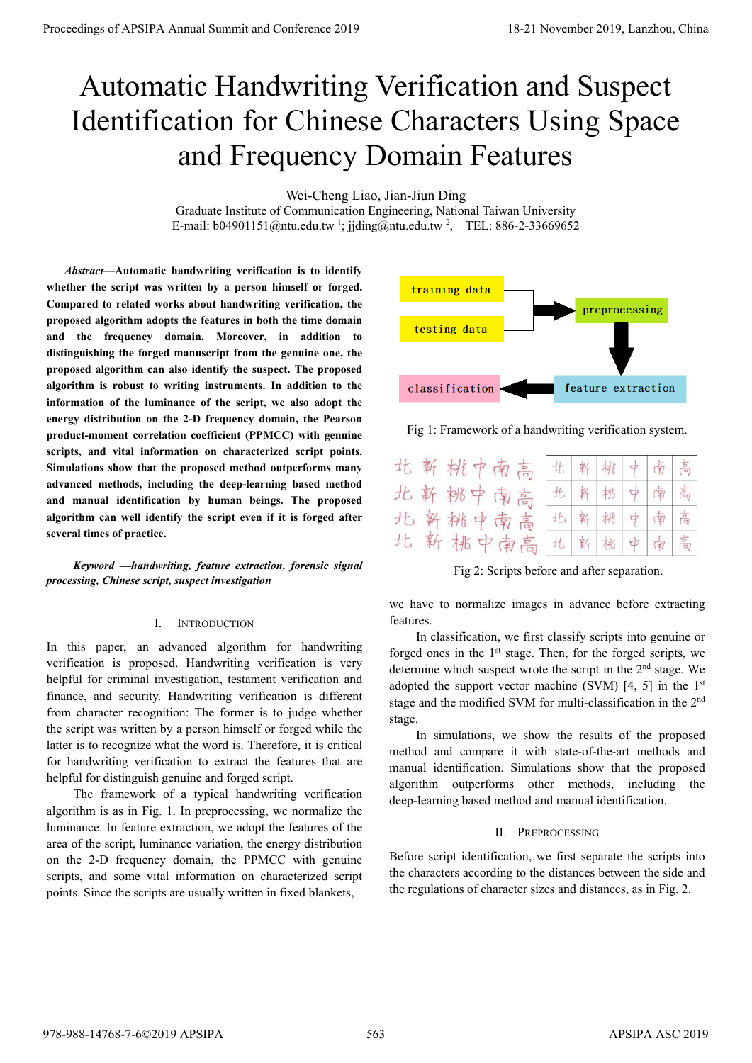# Automatic Handwriting Verification and Suspect Identification for Chinese Characters Using Space and Frequency Domain Features

Wei-Cheng Liao, Jian-Jiun Ding

Graduate Institute of Communication Engineering, National Taiwan University E-mail:  $b04901151@ntu.edu.tw<sup>1</sup>$ ; jjding@ntu.edu.tw<sup>2</sup>, TEL: 886-2-33669652

*Abstract*—**Automatic handwriting verification is to identify whether the script was written by a person himself or forged. Compared to related works about handwriting verification, the proposed algorithm adopts the features in both the time domain and the frequency domain. Moreover, in addition to distinguishing the forged manuscript from the genuine one, the proposed algorithm can also identify the suspect. The proposed algorithm is robust to writing instruments. In addition to the information of the luminance of the script, we also adopt the energy distribution on the 2-D frequency domain, the Pearson product-moment correlation coefficient (PPMCC) with genuine scripts, and vital information on characterized script points. Simulations show that the proposed method outperforms many advanced methods, including the deep-learning based method and manual identification by human beings. The proposed algorithm can well identify the script even if it is forged after several times of practice. Proceedings of APSIPA Annual Summit at China 2019**<br> **Automatic Handwiring Verification and Suspect**<br> **Identification for Chinase Characters Using Space<br>
and Frequency Domain Features of APSIPA and Conference 2019<br>
(Summi** 

*Keyword —handwriting, feature extraction, forensic signal processing, Chinese script, suspect investigation* 

# I. INTRODUCTION

In this paper, an advanced algorithm for handwriting verification is proposed. Handwriting verification is very helpful for criminal investigation, testament verification and finance, and security. Handwriting verification is different from character recognition: The former is to judge whether the script was written by a person himself or forged while the latter is to recognize what the word is. Therefore, it is critical for handwriting verification to extract the features that are helpful for distinguish genuine and forged script.

The framework of a typical handwriting verification algorithm is as in Fig. 1. In preprocessing, we normalize the luminance. In feature extraction, we adopt the features of the area of the script, luminance variation, the energy distribution on the 2-D frequency domain, the PPMCC with genuine scripts, and some vital information on characterized script points. Since the scripts are usually written in fixed blankets,



Fig 1: Framework of a handwriting verification system.

|  | 北新桃中南高 | 北新桃中南高      |  |  |
|--|--------|-------------|--|--|
|  | 北新桃中南高 | 北 新 桃 中 南 高 |  |  |
|  | 北新桃中南高 | 北 新 桃 中 南 高 |  |  |
|  | 北新桃中南高 | 北 新 桃 中 南 高 |  |  |

Fig 2: Scripts before and after separation.

we have to normalize images in advance before extracting features.

In classification, we first classify scripts into genuine or forged ones in the  $1<sup>st</sup>$  stage. Then, for the forged scripts, we determine which suspect wrote the script in the 2<sup>nd</sup> stage. We adopted the support vector machine (SVM) [4, 5] in the  $1<sup>st</sup>$ stage and the modified SVM for multi-classification in the 2nd stage.

In simulations, we show the results of the proposed method and compare it with state-of-the-art methods and manual identification. Simulations show that the proposed algorithm outperforms other methods, including the deep-learning based method and manual identification.

# II. PREPROCESSING

Before script identification, we first separate the scripts into the characters according to the distances between the side and the regulations of character sizes and distances, as in Fig. 2.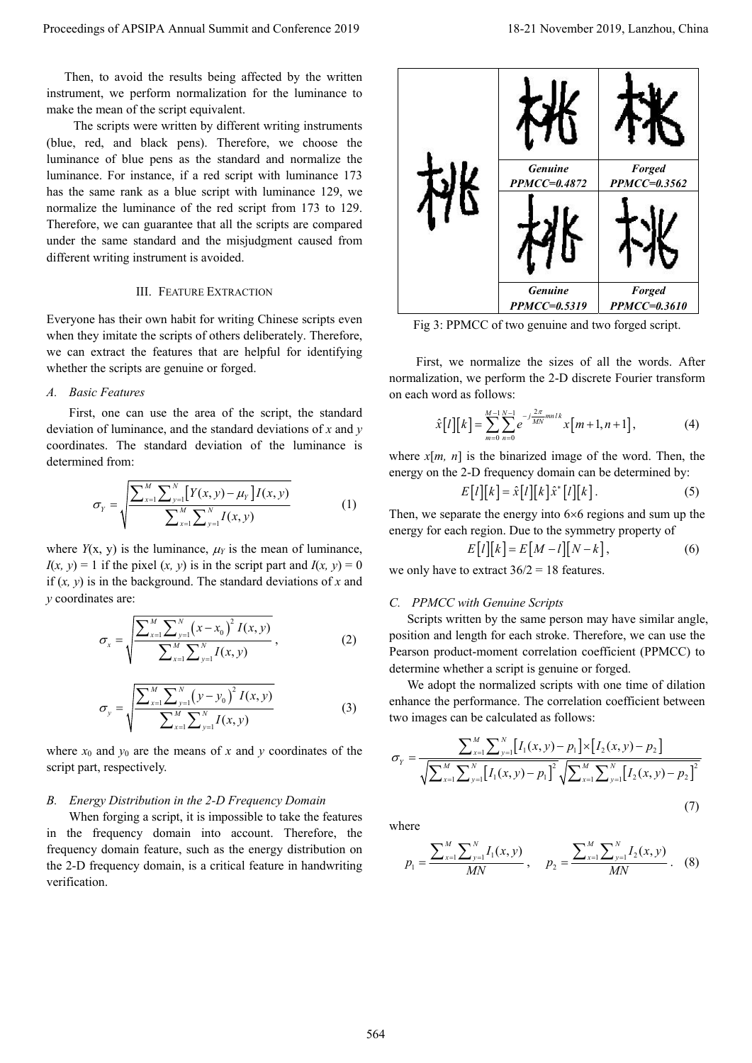Then, to avoid the results being affected by the written instrument, we perform normalization for the luminance to make the mean of the script equivalent.

The scripts were written by different writing instruments (blue, red, and black pens). Therefore, we choose the luminance of blue pens as the standard and normalize the luminance. For instance, if a red script with luminance 173 has the same rank as a blue script with luminance 129, we normalize the luminance of the red script from 173 to 129. Therefore, we can guarantee that all the scripts are compared under the same standard and the misjudgment caused from different writing instrument is avoided.

## III. FEATURE EXTRACTION

Everyone has their own habit for writing Chinese scripts even when they imitate the scripts of others deliberately. Therefore, we can extract the features that are helpful for identifying whether the scripts are genuine or forged.

#### *A. Basic Features*

First, one can use the area of the script, the standard deviation of luminance, and the standard deviations of *x* and *y* coordinates. The standard deviation of the luminance is determined from:

$$
\sigma_{\gamma} = \sqrt{\frac{\sum_{x=1}^{M} \sum_{y=1}^{N} [Y(x, y) - \mu_{\gamma}] I(x, y)}{\sum_{x=1}^{M} \sum_{y=1}^{N} I(x, y)}}
$$
(1)

where  $Y(x, y)$  is the luminance,  $\mu_Y$  is the mean of luminance,  $I(x, y) = 1$  if the pixel  $(x, y)$  is in the script part and  $I(x, y) = 0$ if (*x, y*) is in the background. The standard deviations of *x* and *y* coordinates are:

$$
\sigma_{x} = \sqrt{\frac{\sum_{x=1}^{M} \sum_{y=1}^{N} (x - x_{0})^{2} I(x, y)}{\sum_{x=1}^{M} \sum_{y=1}^{N} I(x, y)}},
$$
\n(2)

$$
\sigma_{y} = \sqrt{\frac{\sum_{x=1}^{M} \sum_{y=1}^{N} (y - y_{0})^{2} I(x, y)}{\sum_{x=1}^{M} \sum_{y=1}^{N} I(x, y)}}
$$
(3)

where  $x_0$  and  $y_0$  are the means of x and y coordinates of the script part, respectively.

## *B. Energy Distribution in the 2-D Frequency Domain*

When forging a script, it is impossible to take the features in the frequency domain into account. Therefore, the frequency domain feature, such as the energy distribution on the 2-D frequency domain, is a critical feature in handwriting verification.



Fig 3: PPMCC of two genuine and two forged script.

First, we normalize the sizes of all the words. After normalization, we perform the 2-D discrete Fourier transform on each word as follows:

$$
\hat{x}[l][k] = \sum_{m=0}^{M-1} \sum_{n=0}^{N-1} e^{-j\frac{2\pi}{MN}mnl} x[m+1, n+1],
$$
\n(4)

where  $x[m, n]$  is the binarized image of the word. Then, the energy on the 2-D frequency domain can be determined by:

$$
E[l][k] = \hat{x}[l][k]\hat{x}^*[l][k].
$$
\n(5)

Then, we separate the energy into  $6\times 6$  regions and sum up the energy for each region. Due to the symmetry property of

$$
E[l][k] = E[M - l][N - k],\tag{6}
$$

we only have to extract  $36/2 = 18$  features.

# *C. PPMCC with Genuine Scripts*

Scripts written by the same person may have similar angle, position and length for each stroke. Therefore, we can use the Pearson product-moment correlation coefficient (PPMCC) to determine whether a script is genuine or forged.

We adopt the normalized scripts with one time of dilation enhance the performance. The correlation coefficient between two images can be calculated as follows:

$$
\sigma_{\gamma} = \frac{\sum_{x=1}^{M} \sum_{y=1}^{N} [I_{1}(x, y) - p_{1}] \times [I_{2}(x, y) - p_{2}]}{\sqrt{\sum_{x=1}^{M} \sum_{y=1}^{N} [I_{1}(x, y) - p_{1}]^{2}} \sqrt{\sum_{x=1}^{M} \sum_{y=1}^{N} [I_{2}(x, y) - p_{2}]}^{2}}
$$
\n(7)

where

$$
p_1 = \frac{\sum_{x=1}^{M} \sum_{y=1}^{N} I_1(x, y)}{MN}, \quad p_2 = \frac{\sum_{x=1}^{M} \sum_{y=1}^{N} I_2(x, y)}{MN}.
$$
 (8)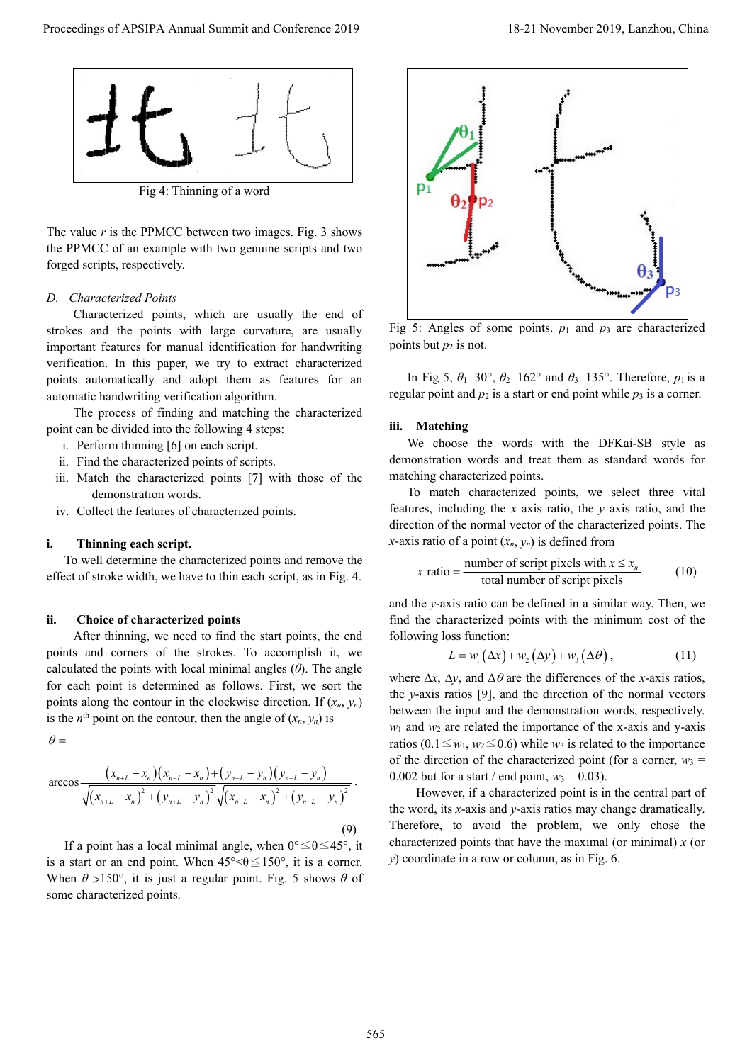

Fig 4: Thinning of a word

The value *r* is the PPMCC between two images. Fig. 3 shows the PPMCC of an example with two genuine scripts and two forged scripts, respectively.

# *D. Characterized Points*

Characterized points, which are usually the end of strokes and the points with large curvature, are usually important features for manual identification for handwriting verification. In this paper, we try to extract characterized points automatically and adopt them as features for an automatic handwriting verification algorithm.

The process of finding and matching the characterized point can be divided into the following 4 steps:

- i. Perform thinning [6] on each script.
- ii. Find the characterized points of scripts.
- iii. Match the characterized points [7] with those of the demonstration words.
- iv. Collect the features of characterized points.

# **i. Thinning each script.**

To well determine the characterized points and remove the effect of stroke width, we have to thin each script, as in Fig. 4.

## **ii. Choice of characterized points**

After thinning, we need to find the start points, the end points and corners of the strokes. To accomplish it, we calculated the points with local minimal angles (*θ*). The angle for each point is determined as follows. First, we sort the points along the contour in the clockwise direction. If  $(x_n, y_n)$ is the  $n^{\text{th}}$  point on the contour, then the angle of  $(x_n, y_n)$  is

 $\theta =$ 

$$
\arccos \frac{(x_{n+L}-x_n)(x_{n-L}-x_n)+(y_{n+L}-y_n)(y_{n-L}-y_n)}{\sqrt{(x_{n+L}-x_n)^2+(y_{n+L}-y_n)^2}\sqrt{(x_{n-L}-x_n)^2+(y_{n-L}-y_n)^2}}.
$$
\n(9)

If a point has a local minimal angle, when  $0^{\circ} \le \theta \le 45^{\circ}$ , it is a start or an end point. When  $45^{\circ} < \theta \le 150^{\circ}$ , it is a corner. When *θ* >150°, it is just a regular point. Fig. 5 shows *θ* of some characterized points.



Fig 5: Angles of some points.  $p_1$  and  $p_3$  are characterized points but  $p_2$  is not.

In Fig 5,  $\theta_1 = 30^\circ$ ,  $\theta_2 = 162^\circ$  and  $\theta_3 = 135^\circ$ . Therefore,  $p_1$  is a regular point and  $p_2$  is a start or end point while  $p_3$  is a corner.

## **iii. Matching**

We choose the words with the DFKai-SB style as demonstration words and treat them as standard words for matching characterized points.

To match characterized points, we select three vital features, including the *x* axis ratio, the *y* axis ratio, and the direction of the normal vector of the characterized points. The *x*-axis ratio of a point  $(x_n, y_n)$  is defined from

$$
x \text{ ratio} = \frac{\text{number of script pixels with } x \le x_n}{\text{total number of script pixels}} \tag{10}
$$

and the *y*-axis ratio can be defined in a similar way. Then, we find the characterized points with the minimum cost of the following loss function:

$$
L = w_1(\Delta x) + w_2(\Delta y) + w_3(\Delta \theta), \qquad (11)
$$

where  $\Delta x$ ,  $\Delta y$ , and  $\Delta \theta$  are the differences of the *x*-axis ratios, the *y*-axis ratios [9], and the direction of the normal vectors between the input and the demonstration words, respectively.  $w_1$  and  $w_2$  are related the importance of the x-axis and y-axis ratios (0.1  $\leq w_1, w_2 \leq 0.6$ ) while *w*<sub>3</sub> is related to the importance of the direction of the characterized point (for a corner,  $w_3$  = 0.002 but for a start / end point,  $w_3 = 0.03$ ).

However, if a characterized point is in the central part of the word, its *x*-axis and *y*-axis ratios may change dramatically. Therefore, to avoid the problem, we only chose the characterized points that have the maximal (or minimal) *x* (or *y*) coordinate in a row or column, as in Fig. 6.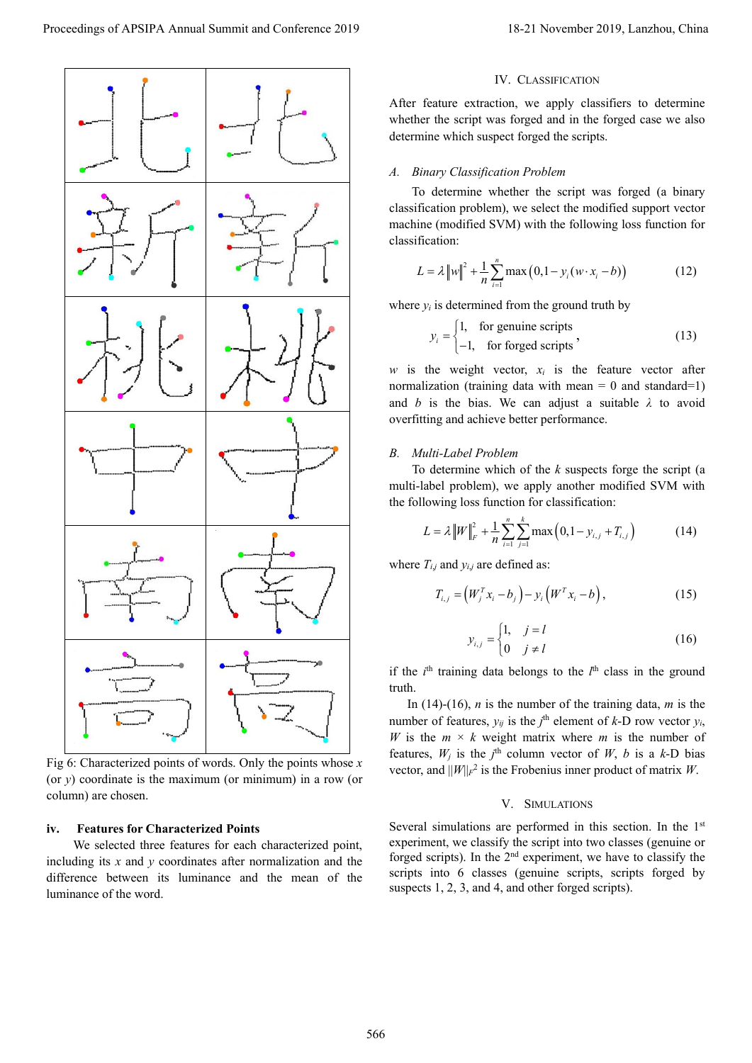

Fig 6: Characterized points of words. Only the points whose *x* (or *y*) coordinate is the maximum (or minimum) in a row (or column) are chosen.

## **iv. Features for Characterized Points**

We selected three features for each characterized point, including its *x* and *y* coordinates after normalization and the difference between its luminance and the mean of the luminance of the word.

## IV. CLASSIFICATION

After feature extraction, we apply classifiers to determine whether the script was forged and in the forged case we also determine which suspect forged the scripts.

#### *A. Binary Classification Problem*

To determine whether the script was forged (a binary classification problem), we select the modified support vector machine (modified SVM) with the following loss function for classification:

$$
L = \lambda \|w\|^2 + \frac{1}{n} \sum_{i=1}^{n} \max (0, 1 - y_i(w \cdot x_i - b))
$$
 (12)

where  $y_i$  is determined from the ground truth by

$$
y_i = \begin{cases} 1, & \text{for genuine scripts} \\ -1, & \text{for forged scripts} \end{cases}
$$
 (13)

*w* is the weight vector,  $x_i$  is the feature vector after normalization (training data with mean  $= 0$  and standard=1) and *b* is the bias. We can adjust a suitable *λ* to avoid overfitting and achieve better performance.

#### *B. Multi-Label Problem*

To determine which of the *k* suspects forge the script (a multi-label problem), we apply another modified SVM with the following loss function for classification:

$$
L = \lambda \|W\|_{F}^{2} + \frac{1}{n} \sum_{i=1}^{n} \sum_{j=1}^{k} \max\left(0, 1 - y_{i,j} + T_{i,j}\right)
$$
(14)

where  $T_{i,j}$  and  $y_{i,j}$  are defined as:

$$
T_{i,j} = \left(W_j^T x_i - b_j\right) - y_i \left(W_j^T x_i - b\right),\tag{15}
$$

$$
y_{i,j} = \begin{cases} 1, & j = l \\ 0 & j \neq l \end{cases}
$$
 (16)

if the  $i<sup>th</sup>$  training data belongs to the  $l<sup>th</sup>$  class in the ground truth.

In (14)-(16), *n* is the number of the training data, *m* is the number of features,  $y_{ij}$  is the  $j^{\text{th}}$  element of  $k$ -D row vector  $y_i$ , *W* is the  $m \times k$  weight matrix where *m* is the number of features,  $W_j$  is the  $j^{\text{th}}$  column vector of  $W$ ,  $b$  is a  $k$ -D bias vector, and  $||W||_F^2$  is the Frobenius inner product of matrix *W*.

#### V. SIMULATIONS

Several simulations are performed in this section. In the 1<sup>st</sup> experiment, we classify the script into two classes (genuine or forged scripts). In the 2nd experiment, we have to classify the scripts into 6 classes (genuine scripts, scripts forged by suspects 1, 2, 3, and 4, and other forged scripts).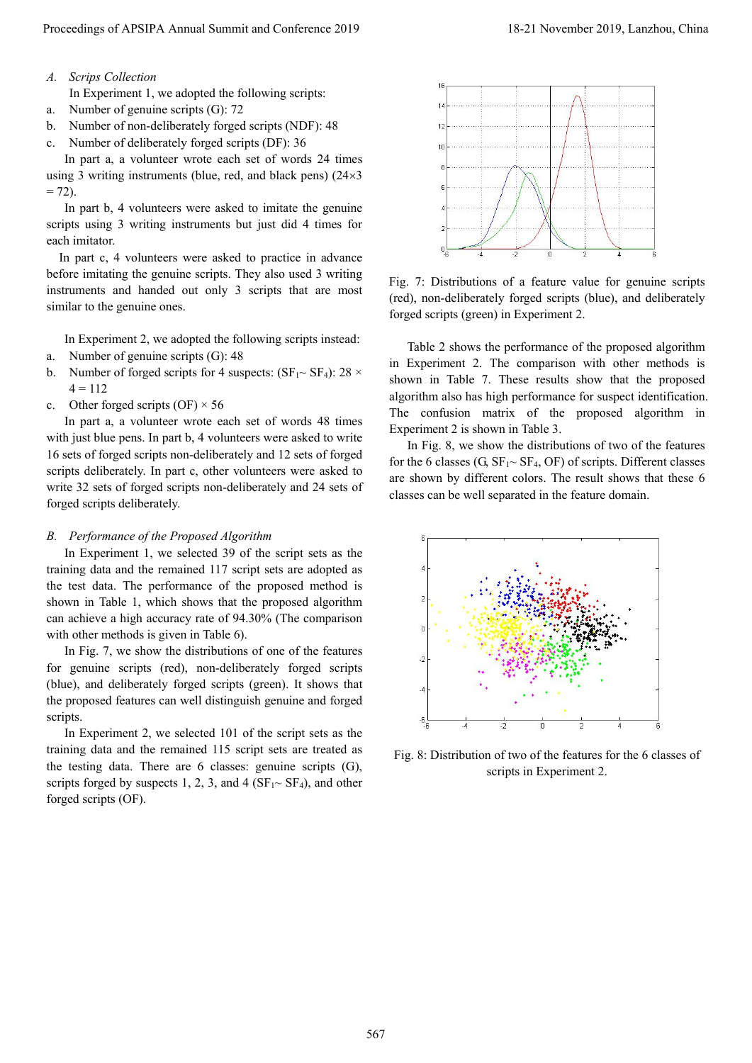*A. Scrips Collection* 

In Experiment 1, we adopted the following scripts:

- a. Number of genuine scripts (G): 72
- b. Number of non-deliberately forged scripts (NDF): 48
- c. Number of deliberately forged scripts (DF): 36

In part a, a volunteer wrote each set of words 24 times using 3 writing instruments (blue, red, and black pens)  $(24 \times 3)$  $= 72$ ).

In part b, 4 volunteers were asked to imitate the genuine scripts using 3 writing instruments but just did 4 times for each imitator.

In part c, 4 volunteers were asked to practice in advance before imitating the genuine scripts. They also used 3 writing instruments and handed out only 3 scripts that are most similar to the genuine ones.

In Experiment 2, we adopted the following scripts instead:

- a. Number of genuine scripts (G): 48
- b. Number of forged scripts for 4 suspects:  $(SF_1 \sim SF_4)$ : 28  $\times$  $4 = 112$
- c. Other forged scripts  $(OF) \times 56$

In part a, a volunteer wrote each set of words 48 times with just blue pens. In part b, 4 volunteers were asked to write 16 sets of forged scripts non-deliberately and 12 sets of forged scripts deliberately. In part c, other volunteers were asked to write 32 sets of forged scripts non-deliberately and 24 sets of forged scripts deliberately.

# *B. Performance of the Proposed Algorithm*

In Experiment 1, we selected 39 of the script sets as the training data and the remained 117 script sets are adopted as the test data. The performance of the proposed method is shown in Table 1, which shows that the proposed algorithm can achieve a high accuracy rate of 94.30% (The comparison with other methods is given in Table 6).

In Fig. 7, we show the distributions of one of the features for genuine scripts (red), non-deliberately forged scripts (blue), and deliberately forged scripts (green). It shows that the proposed features can well distinguish genuine and forged scripts.

In Experiment 2, we selected 101 of the script sets as the training data and the remained 115 script sets are treated as the testing data. There are 6 classes: genuine scripts (G), scripts forged by suspects 1, 2, 3, and 4 ( $SF_1 \sim SF_4$ ), and other forged scripts (OF).



Fig. 7: Distributions of a feature value for genuine scripts (red), non-deliberately forged scripts (blue), and deliberately forged scripts (green) in Experiment 2.

Table 2 shows the performance of the proposed algorithm in Experiment 2. The comparison with other methods is shown in Table 7. These results show that the proposed algorithm also has high performance for suspect identification. The confusion matrix of the proposed algorithm in Experiment 2 is shown in Table 3.

In Fig. 8, we show the distributions of two of the features for the 6 classes (G,  $SF_1 \sim SF_4$ , OF) of scripts. Different classes are shown by different colors. The result shows that these 6 classes can be well separated in the feature domain.



Fig. 8: Distribution of two of the features for the 6 classes of scripts in Experiment 2.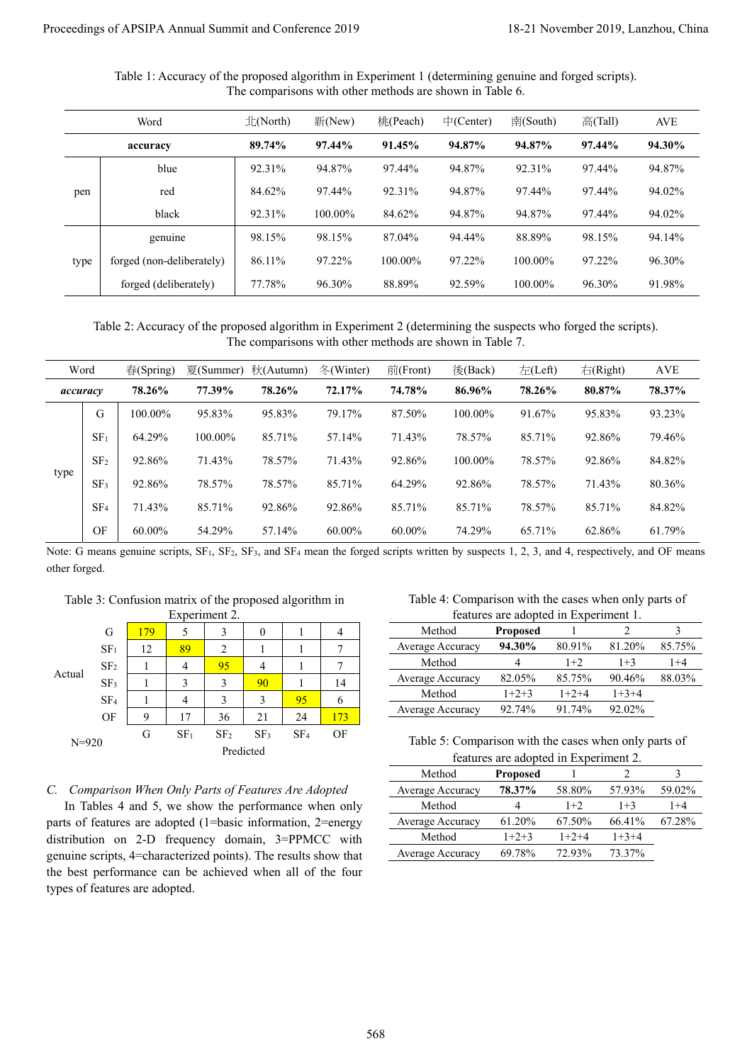Table 1: Accuracy of the proposed algorithm in Experiment 1 (determining genuine and forged scripts). The comparisons with other methods are shown in Table 6.

| 北(North)<br>桃(Peach)<br>Word<br>新(New)<br>$\pm$ (Center)<br>$\overline{\mathbb{F}}$ (South)<br>89.74%<br>97.44%<br>91.45%<br>94.87%<br>94.87%<br>accuracy<br>blue<br>92.31%<br>94.87%<br>97.44%<br>94.87%<br>92.31%<br>84.62%<br>97.44%<br>92.31%<br>94.87%<br>97.44%<br>red<br>pen<br>black<br>92.31%<br>100.00%<br>84.62%<br>94.87%<br>94.87%<br>88.89%<br>genuine<br>98.15%<br>98.15%<br>87.04%<br>94.44%<br>forged (non-deliberately)<br>86.11%<br>97.22%<br>100.00%<br>97.22%<br>100.00%<br>type<br>forged (deliberately)<br>77.78%<br>96.30%<br>88.89%<br>92.59%<br>100.00%<br>Table 2: Accuracy of the proposed algorithm in Experiment 2 (determining the suspects who forged the scripts).<br>The comparisons with other methods are shown in Table 7.<br>Word<br>夏(Summer) 秋(Autumn)<br>冬(Winter)<br>春(Spring)<br>前(Front)<br>後(Back)<br>左(Left)<br>78.26%<br>77.39%<br>78.26%<br>72.17%<br>74.78%<br>86.96%<br>78.26%<br>100.00%<br>95.83%<br>95.83%<br>79.17%<br>87.50%<br>100.00%<br>91.67%<br>G<br>85.71%<br>SF <sub>1</sub><br>64.29%<br>100.00%<br>85.71%<br>57.14%<br>71.43%<br>78.57%<br>SF <sub>2</sub><br>92.86%<br>71.43%<br>100.00%<br>71.43%<br>78.57%<br>92.86%<br>78.57%<br>92.86%<br>85.71%<br>78.57%<br>78.57%<br>64.29%<br>92.86%<br>78.57%<br>SF <sub>3</sub><br>71.43%<br>92.86%<br>92.86%<br>SF <sub>4</sub><br>85.71%<br>85.71%<br>85.71%<br>78.57%<br>OF<br>60.00%<br>54.29%<br>60.00%<br>$60.00\%$<br>74.29%<br>65.71%<br>57.14% | 高(Tall)<br>97.44%<br>97.44%<br>97.44%<br>97.44%<br>98.15%<br>97.22%<br>96.30%<br>$\pm$ (Right)<br>80.87%<br>95.83%<br>92.86%<br>92.86%<br>71.43%<br>85.71% | $\operatorname{AVE}$<br>94.30%<br>94.87%<br>94.02%<br>94.02%<br>94.14%<br>96.30%<br>91.98%<br>$\operatorname{AVE}$<br>78.37%<br>93.23%<br>79.46%<br>84.82%<br>80.36%<br>84.82%<br>62.86%<br>61.79%<br>Note: G means genuine scripts, SF <sub>1</sub> , SF <sub>2</sub> , SF <sub>3</sub> , and SF <sub>4</sub> mean the forged scripts written by suspects 1, 2, 3, and 4, respectively, and OF means |
|--------------------------------------------------------------------------------------------------------------------------------------------------------------------------------------------------------------------------------------------------------------------------------------------------------------------------------------------------------------------------------------------------------------------------------------------------------------------------------------------------------------------------------------------------------------------------------------------------------------------------------------------------------------------------------------------------------------------------------------------------------------------------------------------------------------------------------------------------------------------------------------------------------------------------------------------------------------------------------------------------------------------------------------------------------------------------------------------------------------------------------------------------------------------------------------------------------------------------------------------------------------------------------------------------------------------------------------------------------------------------------------------------------------------------------------------------------------------|------------------------------------------------------------------------------------------------------------------------------------------------------------|-------------------------------------------------------------------------------------------------------------------------------------------------------------------------------------------------------------------------------------------------------------------------------------------------------------------------------------------------------------------------------------------------------|
| accuracy<br>type                                                                                                                                                                                                                                                                                                                                                                                                                                                                                                                                                                                                                                                                                                                                                                                                                                                                                                                                                                                                                                                                                                                                                                                                                                                                                                                                                                                                                                                   |                                                                                                                                                            |                                                                                                                                                                                                                                                                                                                                                                                                       |
|                                                                                                                                                                                                                                                                                                                                                                                                                                                                                                                                                                                                                                                                                                                                                                                                                                                                                                                                                                                                                                                                                                                                                                                                                                                                                                                                                                                                                                                                    |                                                                                                                                                            |                                                                                                                                                                                                                                                                                                                                                                                                       |
|                                                                                                                                                                                                                                                                                                                                                                                                                                                                                                                                                                                                                                                                                                                                                                                                                                                                                                                                                                                                                                                                                                                                                                                                                                                                                                                                                                                                                                                                    |                                                                                                                                                            |                                                                                                                                                                                                                                                                                                                                                                                                       |
|                                                                                                                                                                                                                                                                                                                                                                                                                                                                                                                                                                                                                                                                                                                                                                                                                                                                                                                                                                                                                                                                                                                                                                                                                                                                                                                                                                                                                                                                    |                                                                                                                                                            |                                                                                                                                                                                                                                                                                                                                                                                                       |
|                                                                                                                                                                                                                                                                                                                                                                                                                                                                                                                                                                                                                                                                                                                                                                                                                                                                                                                                                                                                                                                                                                                                                                                                                                                                                                                                                                                                                                                                    |                                                                                                                                                            |                                                                                                                                                                                                                                                                                                                                                                                                       |
|                                                                                                                                                                                                                                                                                                                                                                                                                                                                                                                                                                                                                                                                                                                                                                                                                                                                                                                                                                                                                                                                                                                                                                                                                                                                                                                                                                                                                                                                    |                                                                                                                                                            |                                                                                                                                                                                                                                                                                                                                                                                                       |
|                                                                                                                                                                                                                                                                                                                                                                                                                                                                                                                                                                                                                                                                                                                                                                                                                                                                                                                                                                                                                                                                                                                                                                                                                                                                                                                                                                                                                                                                    |                                                                                                                                                            |                                                                                                                                                                                                                                                                                                                                                                                                       |
|                                                                                                                                                                                                                                                                                                                                                                                                                                                                                                                                                                                                                                                                                                                                                                                                                                                                                                                                                                                                                                                                                                                                                                                                                                                                                                                                                                                                                                                                    |                                                                                                                                                            |                                                                                                                                                                                                                                                                                                                                                                                                       |
|                                                                                                                                                                                                                                                                                                                                                                                                                                                                                                                                                                                                                                                                                                                                                                                                                                                                                                                                                                                                                                                                                                                                                                                                                                                                                                                                                                                                                                                                    |                                                                                                                                                            |                                                                                                                                                                                                                                                                                                                                                                                                       |
|                                                                                                                                                                                                                                                                                                                                                                                                                                                                                                                                                                                                                                                                                                                                                                                                                                                                                                                                                                                                                                                                                                                                                                                                                                                                                                                                                                                                                                                                    |                                                                                                                                                            |                                                                                                                                                                                                                                                                                                                                                                                                       |
|                                                                                                                                                                                                                                                                                                                                                                                                                                                                                                                                                                                                                                                                                                                                                                                                                                                                                                                                                                                                                                                                                                                                                                                                                                                                                                                                                                                                                                                                    |                                                                                                                                                            |                                                                                                                                                                                                                                                                                                                                                                                                       |
|                                                                                                                                                                                                                                                                                                                                                                                                                                                                                                                                                                                                                                                                                                                                                                                                                                                                                                                                                                                                                                                                                                                                                                                                                                                                                                                                                                                                                                                                    |                                                                                                                                                            |                                                                                                                                                                                                                                                                                                                                                                                                       |
|                                                                                                                                                                                                                                                                                                                                                                                                                                                                                                                                                                                                                                                                                                                                                                                                                                                                                                                                                                                                                                                                                                                                                                                                                                                                                                                                                                                                                                                                    |                                                                                                                                                            |                                                                                                                                                                                                                                                                                                                                                                                                       |
|                                                                                                                                                                                                                                                                                                                                                                                                                                                                                                                                                                                                                                                                                                                                                                                                                                                                                                                                                                                                                                                                                                                                                                                                                                                                                                                                                                                                                                                                    |                                                                                                                                                            |                                                                                                                                                                                                                                                                                                                                                                                                       |
|                                                                                                                                                                                                                                                                                                                                                                                                                                                                                                                                                                                                                                                                                                                                                                                                                                                                                                                                                                                                                                                                                                                                                                                                                                                                                                                                                                                                                                                                    |                                                                                                                                                            |                                                                                                                                                                                                                                                                                                                                                                                                       |
|                                                                                                                                                                                                                                                                                                                                                                                                                                                                                                                                                                                                                                                                                                                                                                                                                                                                                                                                                                                                                                                                                                                                                                                                                                                                                                                                                                                                                                                                    |                                                                                                                                                            |                                                                                                                                                                                                                                                                                                                                                                                                       |
| Table 3: Confusion matrix of the proposed algorithm in<br>Experiment 2.<br>features are adopted in Experiment 1.                                                                                                                                                                                                                                                                                                                                                                                                                                                                                                                                                                                                                                                                                                                                                                                                                                                                                                                                                                                                                                                                                                                                                                                                                                                                                                                                                   |                                                                                                                                                            | Table 4: Comparison with the cases when only parts of                                                                                                                                                                                                                                                                                                                                                 |
| Method<br>Proposed<br>4<br>G<br>179<br>$\boldsymbol{0}$<br>5<br>3<br>1                                                                                                                                                                                                                                                                                                                                                                                                                                                                                                                                                                                                                                                                                                                                                                                                                                                                                                                                                                                                                                                                                                                                                                                                                                                                                                                                                                                             |                                                                                                                                                            |                                                                                                                                                                                                                                                                                                                                                                                                       |
| 89<br>SF <sub>1</sub><br>12<br>2<br>1<br>1                                                                                                                                                                                                                                                                                                                                                                                                                                                                                                                                                                                                                                                                                                                                                                                                                                                                                                                                                                                                                                                                                                                                                                                                                                                                                                                                                                                                                         |                                                                                                                                                            | 3                                                                                                                                                                                                                                                                                                                                                                                                     |
| SF <sub>2</sub><br>$\mathbf{1}$<br>4<br>Actual<br>Average Accuracy<br>82.05%<br>$\mathbf{1}$<br>3<br>SF <sub>3</sub>                                                                                                                                                                                                                                                                                                                                                                                                                                                                                                                                                                                                                                                                                                                                                                                                                                                                                                                                                                                                                                                                                                                                                                                                                                                                                                                                               |                                                                                                                                                            | Average Accuracy<br>94.30%<br>80.91%<br>81.20%<br>85.75%<br>$\boldsymbol{7}$                                                                                                                                                                                                                                                                                                                          |
| Method<br>$1+2+3$<br>$\rm SF_4$<br>6<br>4<br>3<br>3<br>95<br>1                                                                                                                                                                                                                                                                                                                                                                                                                                                                                                                                                                                                                                                                                                                                                                                                                                                                                                                                                                                                                                                                                                                                                                                                                                                                                                                                                                                                     | 90.46%<br>85.75%                                                                                                                                           | Method<br>$1+2$<br>4<br>$1+3$<br>$\boldsymbol{7}$<br>4<br>95<br>1                                                                                                                                                                                                                                                                                                                                     |
| OF<br>9<br>17<br>21<br>24<br>173<br>36                                                                                                                                                                                                                                                                                                                                                                                                                                                                                                                                                                                                                                                                                                                                                                                                                                                                                                                                                                                                                                                                                                                                                                                                                                                                                                                                                                                                                             | $1+2+4$<br>$1+3+4$                                                                                                                                         | $1+4$<br>88.03%<br>90<br>3<br>14<br>$\mathbf{1}$                                                                                                                                                                                                                                                                                                                                                      |
| SF <sub>1</sub><br>G<br>$N = 920$                                                                                                                                                                                                                                                                                                                                                                                                                                                                                                                                                                                                                                                                                                                                                                                                                                                                                                                                                                                                                                                                                                                                                                                                                                                                                                                                                                                                                                  | 91.74%<br>92.02%                                                                                                                                           | Average Accuracy<br>92.74%                                                                                                                                                                                                                                                                                                                                                                            |
|                                                                                                                                                                                                                                                                                                                                                                                                                                                                                                                                                                                                                                                                                                                                                                                                                                                                                                                                                                                                                                                                                                                                                                                                                                                                                                                                                                                                                                                                    |                                                                                                                                                            | OF<br>SF <sub>2</sub><br>SF <sub>4</sub><br>SF <sub>3</sub><br>Table 5: Comparison with the cases when only parts of                                                                                                                                                                                                                                                                                  |
|                                                                                                                                                                                                                                                                                                                                                                                                                                                                                                                                                                                                                                                                                                                                                                                                                                                                                                                                                                                                                                                                                                                                                                                                                                                                                                                                                                                                                                                                    |                                                                                                                                                            | Predicted<br>features are adopted in Experiment 2.                                                                                                                                                                                                                                                                                                                                                    |
|                                                                                                                                                                                                                                                                                                                                                                                                                                                                                                                                                                                                                                                                                                                                                                                                                                                                                                                                                                                                                                                                                                                                                                                                                                                                                                                                                                                                                                                                    | 2                                                                                                                                                          | Method<br>$\mathfrak{Z}$<br>Proposed                                                                                                                                                                                                                                                                                                                                                                  |
| C. Comparison When Only Parts of Features Are Adopted<br>Average Accuracy<br>78.37%                                                                                                                                                                                                                                                                                                                                                                                                                                                                                                                                                                                                                                                                                                                                                                                                                                                                                                                                                                                                                                                                                                                                                                                                                                                                                                                                                                                | 58.80%<br>57.93%                                                                                                                                           |                                                                                                                                                                                                                                                                                                                                                                                                       |
| In Tables 4 and 5, we show the performance when only<br>Method<br>4<br>Average Accuracy<br>61.20%                                                                                                                                                                                                                                                                                                                                                                                                                                                                                                                                                                                                                                                                                                                                                                                                                                                                                                                                                                                                                                                                                                                                                                                                                                                                                                                                                                  | $1+2$<br>$1+3$<br>67.50%<br>66.41%                                                                                                                         | 59.02%<br>$1+4$<br>67.28%                                                                                                                                                                                                                                                                                                                                                                             |
| parts of features are adopted (1=basic information, 2=energy<br>Method<br>$1+2+3$<br>distribution on 2-D frequency domain, 3=PPMCC with                                                                                                                                                                                                                                                                                                                                                                                                                                                                                                                                                                                                                                                                                                                                                                                                                                                                                                                                                                                                                                                                                                                                                                                                                                                                                                                            | $1+2+4$<br>$1+3+4$                                                                                                                                         |                                                                                                                                                                                                                                                                                                                                                                                                       |
| Average Accuracy<br>69.78%<br>genuine scripts, 4=characterized points). The results show that                                                                                                                                                                                                                                                                                                                                                                                                                                                                                                                                                                                                                                                                                                                                                                                                                                                                                                                                                                                                                                                                                                                                                                                                                                                                                                                                                                      | 72.93%<br>73.37%                                                                                                                                           |                                                                                                                                                                                                                                                                                                                                                                                                       |
| the best performance can be achieved when all of the four<br>types of features are adopted.                                                                                                                                                                                                                                                                                                                                                                                                                                                                                                                                                                                                                                                                                                                                                                                                                                                                                                                                                                                                                                                                                                                                                                                                                                                                                                                                                                        |                                                                                                                                                            |                                                                                                                                                                                                                                                                                                                                                                                                       |

Table 2: Accuracy of the proposed algorithm in Experiment 2 (determining the suspects who forged the scripts). The comparisons with other methods are shown in Table 7.

|      | Word            | $\bar{\text{m}}$ (Spring) |         | 夏(Summer) 秋(Autumn) | $\&$ (Winter) | 前(Front) | 後(Back)    | E(Left) | $\pm$ (Right) | <b>AVE</b> |
|------|-----------------|---------------------------|---------|---------------------|---------------|----------|------------|---------|---------------|------------|
|      | accuracy        | 78.26%                    | 77.39%  | 78.26%              | 72.17%        | 74.78%   | 86.96%     | 78.26%  | 80.87%        | 78.37%     |
|      | G               | 100.00%                   | 95.83%  | 95.83%              | 79.17%        | 87.50%   | $100.00\%$ | 91.67%  | 95.83%        | 93.23%     |
|      | SF <sub>1</sub> | 64.29%                    | 100.00% | 85.71%              | 57.14%        | 71.43%   | 78.57%     | 85.71%  | 92.86%        | 79.46%     |
|      | SF <sub>2</sub> | 92.86%                    | 71.43%  | 78.57%              | 71.43%        | 92.86%   | 100.00%    | 78.57%  | 92.86%        | 84.82%     |
| type | SF <sub>3</sub> | 92.86%                    | 78.57%  | 78.57%              | 85.71%        | 64.29%   | 92.86%     | 78.57%  | 71.43%        | 80.36%     |
|      | SF <sub>4</sub> | 71.43%                    | 85.71%  | 92.86%              | 92.86%        | 85.71%   | 85.71%     | 78.57%  | 85.71%        | 84.82%     |
|      | OF              | 60.00%                    | 54.29%  | 57.14%              | 60.00%        | 60.00%   | 74.29%     | 65.71%  | 62.86%        | 61.79%     |

|           |                 |     | $LIV$ or more $L1$ . |                 |                 |                 |     |
|-----------|-----------------|-----|----------------------|-----------------|-----------------|-----------------|-----|
|           | G               | 179 | 5                    | 3               | $\theta$        |                 |     |
|           | SF <sub>1</sub> | 12  | 89                   | $\overline{c}$  |                 |                 |     |
| Actual    | SF <sub>2</sub> |     | 4                    | 95              |                 |                 |     |
|           | SF <sub>3</sub> |     | 3                    | 3               | 90              |                 | 14  |
|           | SF <sub>4</sub> |     | 4                    | 3               | 3               | 95              | 6   |
|           | OF              | 9   | 17                   | 36              | 21              | 24              | 173 |
| $N = 920$ |                 | G   | SF <sub>1</sub>      | SF <sub>2</sub> | SF <sub>3</sub> | SF <sub>4</sub> | OF  |
|           |                 |     |                      |                 | Predicted       |                 |     |
|           |                 |     |                      |                 |                 |                 |     |

Table 3: Confusion matrix of the proposed algorithm in Experiment 2

features are adopted in Experiment 1. Method **Proposed** 1 2 3

| 85.75%<br>81.20% |
|------------------|
| 1+4<br>$1 + 3$   |
| 88.03%<br>90.46% |
| $1+3+4$          |
| 92.02%           |
|                  |

Table 5: Comparison with the cases when only parts of features are adopted in Experiment 2.

| Method           | <b>Proposed</b> |         |         |         |
|------------------|-----------------|---------|---------|---------|
| Average Accuracy | 78.37%          | 58.80%  | 57.93%  | 59.02%  |
| Method           |                 | $1+2$   | $1 + 3$ | $1 + 4$ |
| Average Accuracy | 61.20%          | 67.50%  | 66.41%  | 67.28%  |
| Method           | $1+2+3$         | $1+2+4$ | $1+3+4$ |         |
| Average Accuracy | 69.78%          | 72.93%  | 73.37%  |         |

*C. Comparison When Only Parts of Features Are Adopted*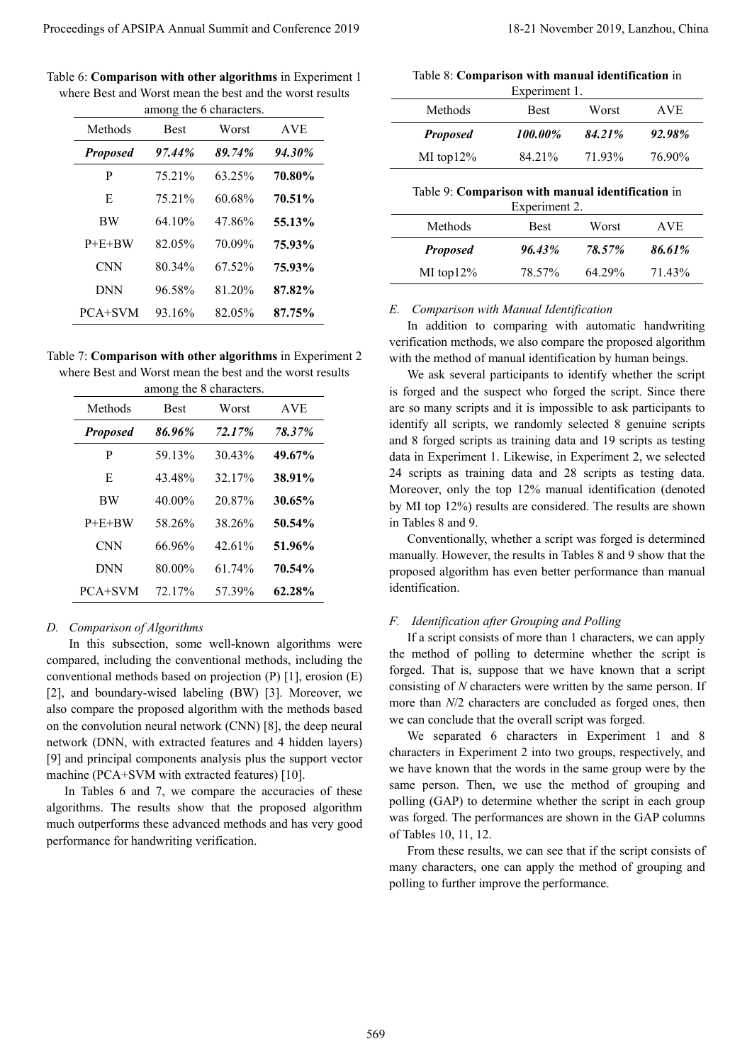Table 6: **Comparison with other algorithms** in Experiment 1 where Best and Worst mean the best and the worst results

|                             |                       | among the 6 characters. | where Best and Worst mean the best and the worst results                                                                                                                                                                                                                                                                                                                                                                                                                                                    | Methods                                                                                                                                                                                                                                                                                                                                                                                                                                                                                                                                                                                                           | Experiment 1.<br>Best | Worst  | <b>AVE</b> |
|-----------------------------|-----------------------|-------------------------|-------------------------------------------------------------------------------------------------------------------------------------------------------------------------------------------------------------------------------------------------------------------------------------------------------------------------------------------------------------------------------------------------------------------------------------------------------------------------------------------------------------|-------------------------------------------------------------------------------------------------------------------------------------------------------------------------------------------------------------------------------------------------------------------------------------------------------------------------------------------------------------------------------------------------------------------------------------------------------------------------------------------------------------------------------------------------------------------------------------------------------------------|-----------------------|--------|------------|
| Methods                     | <b>Best</b>           | Worst                   | <b>AVE</b>                                                                                                                                                                                                                                                                                                                                                                                                                                                                                                  | <b>Proposed</b>                                                                                                                                                                                                                                                                                                                                                                                                                                                                                                                                                                                                   | 100.00%               | 84.21% | 92.98%     |
| <b>Proposed</b>             | 97.44%                | 89.74%                  | 94.30%                                                                                                                                                                                                                                                                                                                                                                                                                                                                                                      | MI top12%                                                                                                                                                                                                                                                                                                                                                                                                                                                                                                                                                                                                         | 84.21%                | 71.93% | 76.90%     |
| P                           | 75.21%                | 63.25%                  | 70.80%                                                                                                                                                                                                                                                                                                                                                                                                                                                                                                      |                                                                                                                                                                                                                                                                                                                                                                                                                                                                                                                                                                                                                   |                       |        |            |
| E                           | 75.21%                | 60.68%                  | 70.51%                                                                                                                                                                                                                                                                                                                                                                                                                                                                                                      | Table 9: Comparison with manual identification in                                                                                                                                                                                                                                                                                                                                                                                                                                                                                                                                                                 |                       |        |            |
| <b>BW</b>                   | 64.10%                | 47.86%                  | 55.13%                                                                                                                                                                                                                                                                                                                                                                                                                                                                                                      | Methods                                                                                                                                                                                                                                                                                                                                                                                                                                                                                                                                                                                                           | Experiment 2.<br>Best | Worst  | <b>AVE</b> |
| $P+E+BW$                    | 82.05%                | 70.09%                  | 75.93%                                                                                                                                                                                                                                                                                                                                                                                                                                                                                                      | <b>Proposed</b>                                                                                                                                                                                                                                                                                                                                                                                                                                                                                                                                                                                                   | 96.43%                | 78.57% | 86.61%     |
| <b>CNN</b>                  | 80.34%                | 67.52%                  | 75.93%                                                                                                                                                                                                                                                                                                                                                                                                                                                                                                      | MI top12%                                                                                                                                                                                                                                                                                                                                                                                                                                                                                                                                                                                                         | 78.57%                | 64.29% | 71.43%     |
| <b>DNN</b>                  | 96.58%                | 81.20%                  | 87.82%                                                                                                                                                                                                                                                                                                                                                                                                                                                                                                      |                                                                                                                                                                                                                                                                                                                                                                                                                                                                                                                                                                                                                   |                       |        |            |
| PCA+SVM                     | 93.16%                | 82.05%                  | 87.75%                                                                                                                                                                                                                                                                                                                                                                                                                                                                                                      | Comparison with Manual Identification<br>E.                                                                                                                                                                                                                                                                                                                                                                                                                                                                                                                                                                       |                       |        |            |
| Methods<br><b>Proposed</b>  | <b>Best</b><br>86.96% | Worst<br>72.17%         | <b>AVE</b><br>78.37%                                                                                                                                                                                                                                                                                                                                                                                                                                                                                        | are so many scripts and it is impossible to ask participants to<br>identify all scripts, we randomly selected 8 genuine scripts                                                                                                                                                                                                                                                                                                                                                                                                                                                                                   |                       |        |            |
|                             |                       | among the 8 characters. |                                                                                                                                                                                                                                                                                                                                                                                                                                                                                                             | is forged and the suspect who forged the script. Since there                                                                                                                                                                                                                                                                                                                                                                                                                                                                                                                                                      |                       |        |            |
| P                           | 59.13%                | 30.43%                  | 49.67%                                                                                                                                                                                                                                                                                                                                                                                                                                                                                                      | and 8 forged scripts as training data and 19 scripts as testing                                                                                                                                                                                                                                                                                                                                                                                                                                                                                                                                                   |                       |        |            |
| E                           | 43.48%                | 32.17%                  | 38.91%                                                                                                                                                                                                                                                                                                                                                                                                                                                                                                      | data in Experiment 1. Likewise, in Experiment 2, we selected<br>24 scripts as training data and 28 scripts as testing data.                                                                                                                                                                                                                                                                                                                                                                                                                                                                                       |                       |        |            |
| <b>BW</b>                   | 40.00%                | 20.87%                  | 30.65%                                                                                                                                                                                                                                                                                                                                                                                                                                                                                                      | Moreover, only the top 12% manual identification (denoted                                                                                                                                                                                                                                                                                                                                                                                                                                                                                                                                                         |                       |        |            |
| $P+E+BW$                    | 58.26%                | 38.26%                  | 50.54%                                                                                                                                                                                                                                                                                                                                                                                                                                                                                                      | by MI top 12%) results are considered. The results are shown<br>in Tables 8 and 9.                                                                                                                                                                                                                                                                                                                                                                                                                                                                                                                                |                       |        |            |
| <b>CNN</b>                  | 66.96%                | 42.61%                  | 51.96%                                                                                                                                                                                                                                                                                                                                                                                                                                                                                                      | Conventionally, whether a script was forged is determined                                                                                                                                                                                                                                                                                                                                                                                                                                                                                                                                                         |                       |        |            |
| <b>DNN</b>                  | 80.00%                | 61.74%                  | 70.54%                                                                                                                                                                                                                                                                                                                                                                                                                                                                                                      | manually. However, the results in Tables 8 and 9 show that the<br>proposed algorithm has even better performance than manual                                                                                                                                                                                                                                                                                                                                                                                                                                                                                      |                       |        |            |
| PCA+SVM                     | 72.17%                | 57.39%                  | 62.28%                                                                                                                                                                                                                                                                                                                                                                                                                                                                                                      | identification.                                                                                                                                                                                                                                                                                                                                                                                                                                                                                                                                                                                                   |                       |        |            |
| D. Comparison of Algorithms |                       |                         | In this subsection, some well-known algorithms were<br>compared, including the conventional methods, including the<br>conventional methods based on projection (P) [1], erosion (E)<br>[2], and boundary-wised labeling (BW) [3]. Moreover, we<br>also compare the proposed algorithm with the methods based<br>on the convolution neural network (CNN) [8], the deep neural<br>network (DNN, with extracted features and 4 hidden layers)<br>[9] and principal components analysis plus the support vector | F. Identification after Grouping and Polling<br>If a script consists of more than 1 characters, we can apply<br>the method of polling to determine whether the script is<br>forged. That is, suppose that we have known that a script<br>consisting of $N$ characters were written by the same person. If<br>more than N/2 characters are concluded as forged ones, then<br>we can conclude that the overall script was forged.<br>We separated 6 characters in Experiment 1 and 8<br>characters in Experiment 2 into two groups, respectively, and<br>we have known that the words in the same group were by the |                       |        |            |

Table 7: **Comparison with other algorithms** in Experiment 2 where Best and Worst mean the best and the worst results

|                 | among the 8 characters. |        |            |
|-----------------|-------------------------|--------|------------|
| Methods         | <b>Best</b>             | Worst  | <b>AVE</b> |
| <b>Proposed</b> | 86.96%                  | 72.17% | 78.37%     |
| P               | 59.13%                  | 30.43% | 49.67%     |
| E               | 43.48%                  | 32.17% | 38.91%     |
| <b>BW</b>       | 40.00%                  | 20.87% | 30.65%     |
| $P + E + BW$    | 58.26%                  | 38.26% | 50.54%     |
| CNN             | 66.96%                  | 42.61% | 51.96%     |
| DNN             | 80.00%                  | 61.74% | 70.54%     |
| PCA+SVM         | $72.17\%$               | 57.39% | 62.28%     |

# *D. Comparison of Algorithms*

|  |  | Table 8: Comparison with manual identification in |  |
|--|--|---------------------------------------------------|--|
|  |  |                                                   |  |

| Experiment 1.   |             |        |        |  |  |  |  |  |
|-----------------|-------------|--------|--------|--|--|--|--|--|
| Methods         | <b>Best</b> | Worst  | AVE.   |  |  |  |  |  |
| <b>Proposed</b> | 100.00%     | 84.21% | 92.98% |  |  |  |  |  |
| MI top $12\%$   | 84.21%      | 71.93% | 76.90% |  |  |  |  |  |

# Table 9: **Comparison with manual identification** in

| Experiment 2.   |             |        |        |  |  |  |  |
|-----------------|-------------|--------|--------|--|--|--|--|
| Methods         | <b>Best</b> | Worst  | AVE.   |  |  |  |  |
| <b>Proposed</b> | $96.43\%$   | 78.57% | 86.61% |  |  |  |  |
| MI top $12\%$   | 78.57%      | 64.29% | 71.43% |  |  |  |  |

# *E. Comparison with Manual Identification*

# *F. Identification after Grouping and Polling*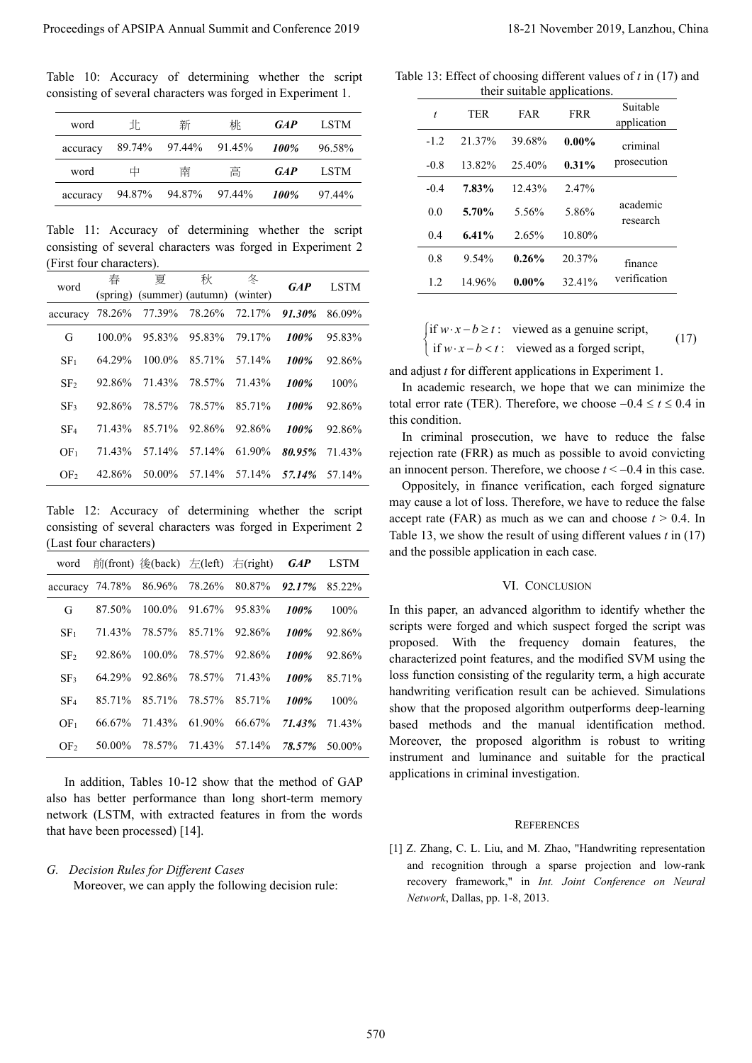Table 10: Accuracy of determining whether the script consisting of several characters was forged in Experiment 1.

| word     | Hh.    | 新             | 桃 | <b>GAP</b>  | <b>LSTM</b> |
|----------|--------|---------------|---|-------------|-------------|
| accuracy | 89.74% | 97.44% 91.45% |   | 100%        | 96.58%      |
| word     | 中      | 南             | 高 | <b>GAP</b>  | LSTM        |
| accuracy | 94.87% | 94.87% 97.44% |   | <b>100%</b> | 97.44%      |

Table 11: Accuracy of determining whether the script consisting of several characters was forged in Experiment 2 (First four characters).

|                                                                                                                                                                                                                                                                                                         |                                              |                            |                                       | consisting of several characters was forged in Experiment 1. |              |                  | $\boldsymbol{t}$                                                                                                                                                                                                                                                                                                                                   |                                                                                                                                                                   | TER              | FAR               | their suitable applications.<br><b>FRR</b> | Suitable                                                                                                                            |  |  |
|---------------------------------------------------------------------------------------------------------------------------------------------------------------------------------------------------------------------------------------------------------------------------------------------------------|----------------------------------------------|----------------------------|---------------------------------------|--------------------------------------------------------------|--------------|------------------|----------------------------------------------------------------------------------------------------------------------------------------------------------------------------------------------------------------------------------------------------------------------------------------------------------------------------------------------------|-------------------------------------------------------------------------------------------------------------------------------------------------------------------|------------------|-------------------|--------------------------------------------|-------------------------------------------------------------------------------------------------------------------------------------|--|--|
| word                                                                                                                                                                                                                                                                                                    | 北                                            |                            | 新                                     | 桃                                                            | GAP          | <b>LSTM</b>      | $-1.2$                                                                                                                                                                                                                                                                                                                                             |                                                                                                                                                                   |                  |                   |                                            | application                                                                                                                         |  |  |
| accuracy                                                                                                                                                                                                                                                                                                | 89.74%                                       |                            | 97.44%                                | 91.45%                                                       | 100%         | 96.58%           | $-0.8$                                                                                                                                                                                                                                                                                                                                             |                                                                                                                                                                   | 21.37%<br>13.82% | 39.68%<br>25.40%  | $0.00\%$                                   | criminal<br>prosecution                                                                                                             |  |  |
| word                                                                                                                                                                                                                                                                                                    | 中                                            |                            | 南                                     | 高                                                            | <b>GAP</b>   | <b>LSTM</b>      | $-0.4$                                                                                                                                                                                                                                                                                                                                             |                                                                                                                                                                   | 7.83%            | 12.43%            | 0.31%<br>2.47%                             |                                                                                                                                     |  |  |
| accuracy                                                                                                                                                                                                                                                                                                | 94.87%<br>94.87%<br>97.44%<br>100%<br>97.44% |                            |                                       |                                                              |              | 0.0              | 5.70%                                                                                                                                                                                                                                                                                                                                              |                                                                                                                                                                   | 5.56%<br>5.86%   | academic          |                                            |                                                                                                                                     |  |  |
| Table 11: Accuracy of determining whether the script                                                                                                                                                                                                                                                    |                                              |                            |                                       |                                                              |              |                  | 0.4                                                                                                                                                                                                                                                                                                                                                |                                                                                                                                                                   | 6.41%            | 2.65%             | research<br>10.80%                         |                                                                                                                                     |  |  |
| consisting of several characters was forged in Experiment 2                                                                                                                                                                                                                                             |                                              |                            |                                       |                                                              |              |                  | 0.8                                                                                                                                                                                                                                                                                                                                                |                                                                                                                                                                   | 9.54%            | 0.26%             | 20.37%                                     |                                                                                                                                     |  |  |
| (First four characters).                                                                                                                                                                                                                                                                                | 春                                            | 夏                          | 秋                                     | 冬                                                            |              |                  | 1.2                                                                                                                                                                                                                                                                                                                                                |                                                                                                                                                                   | 14.96%           | $0.00\%$          | 32.41%                                     | finance<br>verification                                                                                                             |  |  |
| word                                                                                                                                                                                                                                                                                                    | (spring)                                     | (summer) (autumn) (winter) |                                       |                                                              | <b>GAP</b>   | <b>LSTM</b>      |                                                                                                                                                                                                                                                                                                                                                    |                                                                                                                                                                   |                  |                   |                                            |                                                                                                                                     |  |  |
| accuracy 78.26%                                                                                                                                                                                                                                                                                         |                                              | 77.39%                     | 78.26%                                | 72.17%                                                       | 91.30%       | 86.09%           |                                                                                                                                                                                                                                                                                                                                                    |                                                                                                                                                                   |                  |                   |                                            |                                                                                                                                     |  |  |
| G                                                                                                                                                                                                                                                                                                       | 100.0%                                       | 95.83%                     | 95.83%                                | 79.17%                                                       | 100%         | 95.83%           |                                                                                                                                                                                                                                                                                                                                                    | f if <i>w</i> ⋅ <i>x</i> − <i>b</i> ≥ <i>t</i> : viewed as a genuine script,<br>if <i>w</i> ⋅ <i>x</i> − <i>b</i> < <i>t</i> : viewed as a forged script,<br>(17) |                  |                   |                                            |                                                                                                                                     |  |  |
| SF <sub>1</sub>                                                                                                                                                                                                                                                                                         | 64.29%                                       | 100.0%                     | 85.71%                                | 57.14%                                                       | 100%         | 92.86%           | and adjust $t$ for different applications in Experiment 1.                                                                                                                                                                                                                                                                                         |                                                                                                                                                                   |                  |                   |                                            |                                                                                                                                     |  |  |
| SF <sub>2</sub>                                                                                                                                                                                                                                                                                         | 92.86%                                       | 71.43%                     | 78.57%                                | 71.43%                                                       | 100%         | 100%             |                                                                                                                                                                                                                                                                                                                                                    | In academic research, we hope that we can minimize the                                                                                                            |                  |                   |                                            |                                                                                                                                     |  |  |
| SF <sub>3</sub>                                                                                                                                                                                                                                                                                         | 92.86%                                       | 78.57%                     | 78.57%                                | 85.71%                                                       | 100%         | 92.86%           | total error rate (TER). Therefore, we choose $-0.4 \le t \le 0.4$ in<br>this condition.<br>In criminal prosecution, we have to reduce the false<br>rejection rate (FRR) as much as possible to avoid convicting<br>an innocent person. Therefore, we choose $t < -0.4$ in this case.<br>Oppositely, in finance verification, each forged signature |                                                                                                                                                                   |                  |                   |                                            |                                                                                                                                     |  |  |
| SF <sub>4</sub>                                                                                                                                                                                                                                                                                         | 71.43%                                       | 85.71%                     | 92.86%                                | 92.86%                                                       | 100%         | 92.86%           |                                                                                                                                                                                                                                                                                                                                                    |                                                                                                                                                                   |                  |                   |                                            |                                                                                                                                     |  |  |
| OF <sub>1</sub>                                                                                                                                                                                                                                                                                         | 71.43%                                       |                            | 57.14% 57.14%                         | 61.90%                                                       | 80.95%       | 71.43%           |                                                                                                                                                                                                                                                                                                                                                    |                                                                                                                                                                   |                  |                   |                                            |                                                                                                                                     |  |  |
| OF <sub>2</sub>                                                                                                                                                                                                                                                                                         | 42.86%                                       |                            | 50.00% 57.14% 57.14%                  |                                                              | 57.14%       | 57.14%           |                                                                                                                                                                                                                                                                                                                                                    |                                                                                                                                                                   |                  |                   |                                            |                                                                                                                                     |  |  |
|                                                                                                                                                                                                                                                                                                         |                                              |                            |                                       |                                                              |              |                  |                                                                                                                                                                                                                                                                                                                                                    |                                                                                                                                                                   |                  |                   |                                            | accept rate (FAR) as much as we can and choose $t > 0.4$ . In<br>Table 13, we show the result of using different values $t$ in (17) |  |  |
| word                                                                                                                                                                                                                                                                                                    |                                              |                            |                                       | 前(front) 後(back) 左(left) 右(right)                            | <b>GAP</b>   | LSTM             | and the possible application in each case.                                                                                                                                                                                                                                                                                                         |                                                                                                                                                                   |                  |                   |                                            |                                                                                                                                     |  |  |
|                                                                                                                                                                                                                                                                                                         |                                              |                            |                                       |                                                              |              |                  |                                                                                                                                                                                                                                                                                                                                                    |                                                                                                                                                                   |                  | VI. CONCLUSION    |                                            |                                                                                                                                     |  |  |
| G                                                                                                                                                                                                                                                                                                       | 87.50%                                       |                            | 100.0% 91.67% 95.83%                  |                                                              | 100%         | 100%             |                                                                                                                                                                                                                                                                                                                                                    |                                                                                                                                                                   |                  |                   |                                            | In this paper, an advanced algorithm to identify whether the<br>scripts were forged and which suspect forged the script was         |  |  |
| SF <sub>1</sub>                                                                                                                                                                                                                                                                                         | 71.43%<br>92.86%                             | 100.0%                     | 78.57% 85.71% 92.86%<br>78.57% 92.86% |                                                              | 100%         | 92.86%           |                                                                                                                                                                                                                                                                                                                                                    |                                                                                                                                                                   |                  |                   |                                            | proposed. With the frequency domain features, the                                                                                   |  |  |
| SF <sub>2</sub><br>SF <sub>3</sub>                                                                                                                                                                                                                                                                      | 64.29%                                       | 92.86%                     | 78.57%                                | 71.43%                                                       | 100%<br>100% | 92.86%<br>85.71% |                                                                                                                                                                                                                                                                                                                                                    |                                                                                                                                                                   |                  |                   |                                            | characterized point features, and the modified SVM using the<br>loss function consisting of the regularity term, a high accurate    |  |  |
| $\rm SF_4$                                                                                                                                                                                                                                                                                              | 85.71%                                       | 85.71%                     | 78.57%                                | 85.71%                                                       | 100%         | 100%             |                                                                                                                                                                                                                                                                                                                                                    |                                                                                                                                                                   |                  |                   |                                            | handwriting verification result can be achieved. Simulations                                                                        |  |  |
| accuracy 74.78% 86.96% 78.26% 80.87% 92.17% 85.22%<br>OF <sub>1</sub>                                                                                                                                                                                                                                   | 66.67%                                       | 71.43% 61.90%              |                                       | 66.67%                                                       | 71.43%       | 71.43%           |                                                                                                                                                                                                                                                                                                                                                    |                                                                                                                                                                   |                  |                   |                                            | show that the proposed algorithm outperforms deep-learning<br>based methods and the manual identification method.                   |  |  |
| OF <sub>2</sub>                                                                                                                                                                                                                                                                                         | 50.00%                                       | 78.57% 71.43% 57.14%       |                                       |                                                              |              | 78.57% 50.00%    |                                                                                                                                                                                                                                                                                                                                                    |                                                                                                                                                                   |                  |                   |                                            | Moreover, the proposed algorithm is robust to writing                                                                               |  |  |
|                                                                                                                                                                                                                                                                                                         |                                              |                            |                                       | In addition, Tables 10-12 show that the method of GAP        |              |                  | applications in criminal investigation.                                                                                                                                                                                                                                                                                                            |                                                                                                                                                                   |                  |                   |                                            | instrument and luminance and suitable for the practical                                                                             |  |  |
| Table 12: Accuracy of determining whether the script<br>consisting of several characters was forged in Experiment 2<br>(Last four characters)<br>also has better performance than long short-term memory<br>network (LSTM, with extracted features in from the words<br>that have been processed) [14]. |                                              |                            |                                       |                                                              |              |                  |                                                                                                                                                                                                                                                                                                                                                    |                                                                                                                                                                   |                  | <b>REFERENCES</b> |                                            | [1] Z. Zhang, C. L. Liu, and M. Zhao, "Handwriting representation                                                                   |  |  |

Table 12: Accuracy of determining whether the script consisting of several characters was forged in Experiment 2 (Last four characters)

|                 |        |                                 | word $\hat{p}$ (front) $\hat{\mathcal{B}}$ (back) $\hat{\mathcal{F}}$ (left) $\hat{\mathcal{F}}$ (right) $GAP$ |         | LSTM    |
|-----------------|--------|---------------------------------|----------------------------------------------------------------------------------------------------------------|---------|---------|
|                 |        |                                 | accuracy 74.78% 86.96% 78.26% 80.87% 92.17%                                                                    |         | 85.22%  |
| G               | 87.50% |                                 | $100.0\%$ 91.67% 95.83%                                                                                        | $100\%$ | $100\%$ |
| SF <sub>1</sub> |        | 71.43\% 78.57\% 85.71\% 92.86\% |                                                                                                                | 100%    | 92.86%  |
| SF <sub>2</sub> |        | 92.86% 100.0% 78.57% 92.86%     |                                                                                                                | 100%    | 92.86%  |
| SF <sub>3</sub> |        | 64.29% 92.86% 78.57% 71.43%     |                                                                                                                | 100%    | 85.71%  |
| SE <sub>4</sub> |        | 85.71% 85.71% 78.57%            | 85.71%                                                                                                         | $100\%$ | $100\%$ |
| OF <sub>1</sub> |        |                                 | 66.67% 71.43% 61.90% 66.67% 71.43% 71.43%                                                                      |         |         |
| OF <sub>2</sub> |        |                                 | 50.00% 78.57% 71.43% 57.14% 78.57% 50.00%                                                                      |         |         |

## *G. Decision Rules for Different Cases*

Table 13: Effect of choosing different values of *t* in (17) and their suitable applications.

| t      | TER      | FAR      | <b>FRR</b> | Suitable<br>application |  |
|--------|----------|----------|------------|-------------------------|--|
| $-1.2$ | 21.37%   | 39.68%   | $0.00\%$   | criminal                |  |
| $-0.8$ | 13.82%   | 25.40%   | $0.31\%$   | prosecution             |  |
| $-0.4$ | 7.83%    | 12.43%   | 2.47%      |                         |  |
| 0.0    | 5.70%    | 5.56%    | 5.86%      | academic<br>research    |  |
| 0.4    | $6.41\%$ | 2.65%    | 10.80%     |                         |  |
| 0.8    | 9.54%    | 0.26%    | 20.37%     | finance<br>verification |  |
| 1.2    | 14.96%   | $0.00\%$ | 32.41%     |                         |  |

# VI. CONCLUSION

## **REFERENCES**